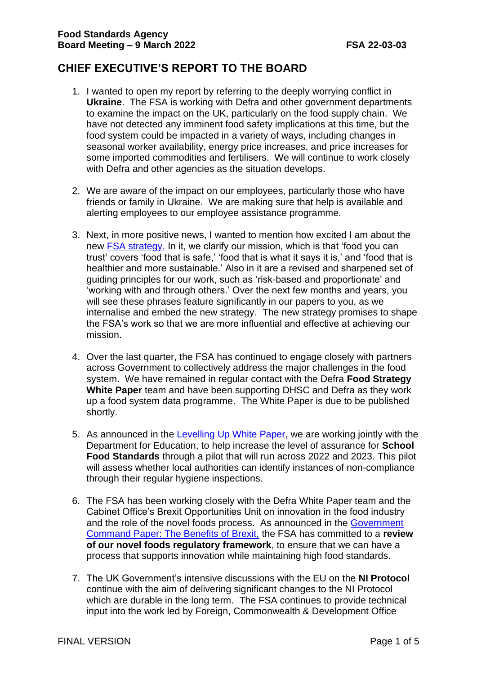## **CHIEF EXECUTIVE'S REPORT TO THE BOARD**

- 1. I wanted to open my report by referring to the deeply worrying conflict in **Ukraine**. The FSA is working with Defra and other government departments to examine the impact on the UK, particularly on the food supply chain. We have not detected any imminent food safety implications at this time, but the food system could be impacted in a variety of ways, including changes in seasonal worker availability, energy price increases, and price increases for some imported commodities and fertilisers. We will continue to work closely with Defra and other agencies as the situation develops.
- 2. We are aware of the impact on our employees, particularly those who have friends or family in Ukraine. We are making sure that help is available and alerting employees to our employee assistance programme.
- 3. Next, in more positive news, I wanted to mention how excited I am about the new **FSA strategy.** In it, we clarify our mission, which is that 'food you can trust' covers 'food that is safe,' 'food that is what it says it is,' and 'food that is healthier and more sustainable.' Also in it are a revised and sharpened set of guiding principles for our work, such as 'risk-based and proportionate' and 'working with and through others.' Over the next few months and years, you will see these phrases feature significantly in our papers to you, as we internalise and embed the new strategy. The new strategy promises to shape the FSA's work so that we are more influential and effective at achieving our mission.
- 4. Over the last quarter, the FSA has continued to engage closely with partners across Government to collectively address the major challenges in the food system. We have remained in regular contact with the Defra **Food Strategy White Paper** team and have been supporting DHSC and Defra as they work up a food system data programme. The White Paper is due to be published shortly.
- 5. As announced in the [Levelling Up White Paper,](https://assets.publishing.service.gov.uk/government/uploads/system/uploads/attachment_data/file/1052046/Executive_Summary.pdf) we are working jointly with the Department for Education, to help increase the level of assurance for **School Food Standards** through a pilot that will run across 2022 and 2023. This pilot will assess whether local authorities can identify instances of non-compliance through their regular hygiene inspections.
- 6. The FSA has been working closely with the Defra White Paper team and the Cabinet Office's Brexit Opportunities Unit on innovation in the food industry and the role of the novel foods process. As announced in the [Government](https://www.gov.uk/government/publications/the-benefits-of-brexit)  [Command Paper: The Benefits of Brexit,](https://www.gov.uk/government/publications/the-benefits-of-brexit) the FSA has committed to a **review of our novel foods regulatory framework**, to ensure that we can have a process that supports innovation while maintaining high food standards.
- 7. The UK Government's intensive discussions with the EU on the **NI Protocol** continue with the aim of delivering significant changes to the NI Protocol which are durable in the long term. The FSA continues to provide technical input into the work led by Foreign, Commonwealth & Development Office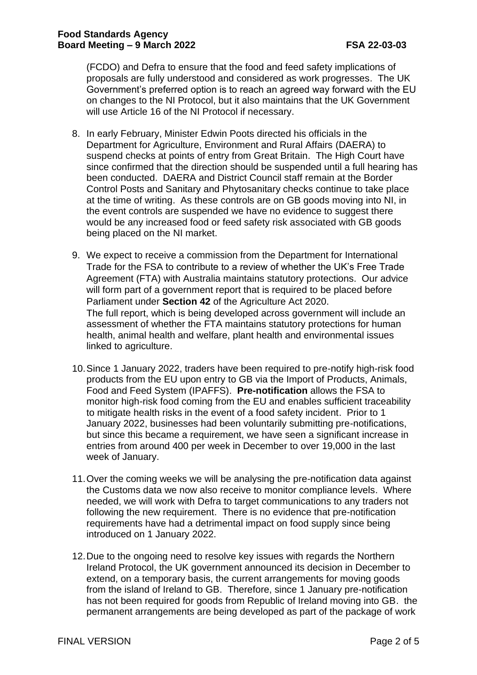(FCDO) and Defra to ensure that the food and feed safety implications of proposals are fully understood and considered as work progresses. The UK Government's preferred option is to reach an agreed way forward with the EU on changes to the NI Protocol, but it also maintains that the UK Government will use Article 16 of the NI Protocol if necessary.

- 8. In early February, Minister Edwin Poots directed his officials in the Department for Agriculture, Environment and Rural Affairs (DAERA) to suspend checks at points of entry from Great Britain. The High Court have since confirmed that the direction should be suspended until a full hearing has been conducted. DAERA and District Council staff remain at the Border Control Posts and Sanitary and Phytosanitary checks continue to take place at the time of writing. As these controls are on GB goods moving into NI, in the event controls are suspended we have no evidence to suggest there would be any increased food or feed safety risk associated with GB goods being placed on the NI market.
- 9. We expect to receive a commission from the Department for International Trade for the FSA to contribute to a review of whether the UK's Free Trade Agreement (FTA) with Australia maintains statutory protections. Our advice will form part of a government report that is required to be placed before Parliament under **Section 42** of the Agriculture Act 2020. The full report, which is being developed across government will include an assessment of whether the FTA maintains statutory protections for human health, animal health and welfare, plant health and environmental issues linked to agriculture.
- 10.Since 1 January 2022, traders have been required to pre-notify high-risk food products from the EU upon entry to GB via the Import of Products, Animals, Food and Feed System (IPAFFS). **Pre-notification** allows the FSA to monitor high-risk food coming from the EU and enables sufficient traceability to mitigate health risks in the event of a food safety incident. Prior to 1 January 2022, businesses had been voluntarily submitting pre-notifications, but since this became a requirement, we have seen a significant increase in entries from around 400 per week in December to over 19,000 in the last week of January.
- 11.Over the coming weeks we will be analysing the pre-notification data against the Customs data we now also receive to monitor compliance levels. Where needed, we will work with Defra to target communications to any traders not following the new requirement. There is no evidence that pre-notification requirements have had a detrimental impact on food supply since being introduced on 1 January 2022.
- 12.Due to the ongoing need to resolve key issues with regards the Northern Ireland Protocol, the UK government announced its decision in December to extend, on a temporary basis, the current arrangements for moving goods from the island of Ireland to GB. Therefore, since 1 January pre-notification has not been required for goods from Republic of Ireland moving into GB. the permanent arrangements are being developed as part of the package of work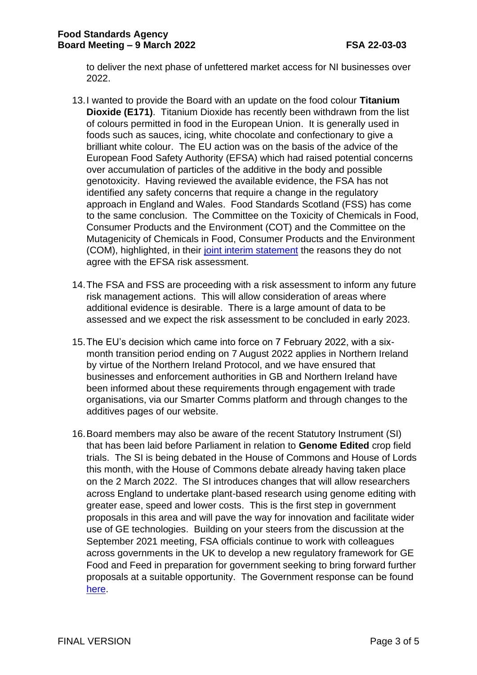to deliver the next phase of unfettered market access for NI businesses over 2022.

- 13.I wanted to provide the Board with an update on the food colour **Titanium Dioxide (E171)**. Titanium Dioxide has recently been withdrawn from the list of colours permitted in food in the European Union. It is generally used in foods such as sauces, icing, white chocolate and confectionary to give a brilliant white colour. The EU action was on the basis of the advice of the European Food Safety Authority (EFSA) which had raised potential concerns over accumulation of particles of the additive in the body and possible genotoxicity. Having reviewed the available evidence, the FSA has not identified any safety concerns that require a change in the regulatory approach in England and Wales. Food Standards Scotland (FSS) has come to the same conclusion. The Committee on the Toxicity of Chemicals in Food, Consumer Products and the Environment (COT) and the Committee on the Mutagenicity of Chemicals in Food, Consumer Products and the Environment (COM), highlighted, in their [joint interim statement](https://cot.food.gov.uk/sites/default/files/2022-01/TiO2%20COT%20Interim%20position%20paper.pdf) the reasons they do not agree with the EFSA risk assessment.
- 14.The FSA and FSS are proceeding with a risk assessment to inform any future risk management actions. This will allow consideration of areas where additional evidence is desirable. There is a large amount of data to be assessed and we expect the risk assessment to be concluded in early 2023.
- 15.The EU's decision which came into force on 7 February 2022, with a sixmonth transition period ending on 7 August 2022 applies in Northern Ireland by virtue of the Northern Ireland Protocol, and we have ensured that businesses and enforcement authorities in GB and Northern Ireland have been informed about these requirements through engagement with trade organisations, via our Smarter Comms platform and through changes to the additives pages of our website.
- 16.Board members may also be aware of the recent Statutory Instrument (SI) that has been laid before Parliament in relation to **Genome Edited** crop field trials. The SI is being debated in the House of Commons and House of Lords this month, with the House of Commons debate already having taken place on the 2 March 2022. The SI introduces changes that will allow researchers across England to undertake plant-based research using genome editing with greater ease, speed and lower costs. This is the first step in government proposals in this area and will pave the way for innovation and facilitate wider use of GE technologies. Building on your steers from the discussion at the September 2021 meeting, FSA officials continue to work with colleagues across governments in the UK to develop a new regulatory framework for GE Food and Feed in preparation for government seeking to bring forward further proposals at a suitable opportunity. The Government response can be found [here.](https://www.gov.uk/government/consultations/genetic-technologies-regulation/outcome/genetic-technologies-regulation-government-response)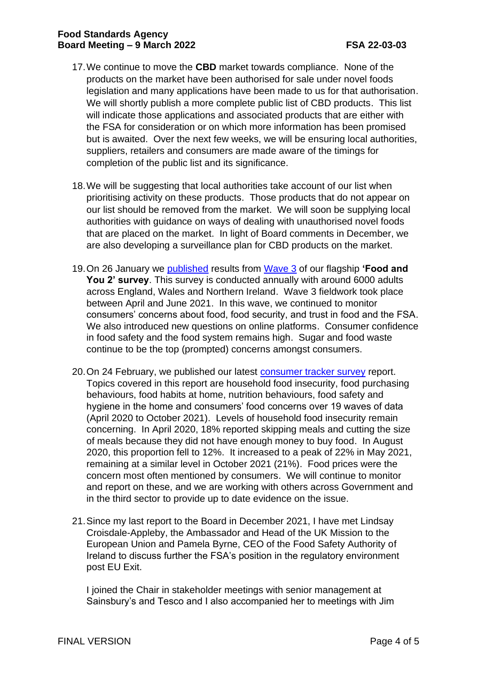## **Food Standards Agency Board Meeting – 9 March 2022 FSA 22-03-03**

- 17.We continue to move the **CBD** market towards compliance. None of the products on the market have been authorised for sale under novel foods legislation and many applications have been made to us for that authorisation. We will shortly publish a more complete public list of CBD products. This list will indicate those applications and associated products that are either with the FSA for consideration or on which more information has been promised but is awaited. Over the next few weeks, we will be ensuring local authorities, suppliers, retailers and consumers are made aware of the timings for completion of the public list and its significance.
- 18.We will be suggesting that local authorities take account of our list when prioritising activity on these products. Those products that do not appear on our list should be removed from the market. We will soon be supplying local authorities with guidance on ways of dealing with unauthorised novel foods that are placed on the market. In light of Board comments in December, we are also developing a surveillance plan for CBD products on the market.
- 19.On 26 January we [published](https://www.food.gov.uk/news-alerts/news/trust-in-food-supply-chain-remains-high-consumer-survey-reveals) results from [Wave 3](https://www.food.gov.uk/research/food-and-you-2/food-and-you-2-wave-3) of our flagship **'Food and You 2' survey**. This survey is conducted annually with around 6000 adults across England, Wales and Northern Ireland. Wave 3 fieldwork took place between April and June 2021. In this wave, we continued to monitor consumers' concerns about food, food security, and trust in food and the FSA. We also introduced new questions on online platforms. Consumer confidence in food safety and the food system remains high. Sugar and food waste continue to be the top (prompted) concerns amongst consumers.
- 20. On 24 February, we published our latest [consumer tracker survey](https://www.food.gov.uk/sites/default/files/media/document/COVID-19%20consumer%20tracker%20survey%20summary%20report%20-%20waves%201%20to%2019.pdf) report. Topics covered in this report are household food insecurity, food purchasing behaviours, food habits at home, nutrition behaviours, food safety and hygiene in the home and consumers' food concerns over 19 waves of data (April 2020 to October 2021). Levels of household food insecurity remain concerning. In April 2020, 18% reported skipping meals and cutting the size of meals because they did not have enough money to buy food. In August 2020, this proportion fell to 12%. It increased to a peak of 22% in May 2021, remaining at a similar level in October 2021 (21%). Food prices were the concern most often mentioned by consumers. We will continue to monitor and report on these, and we are working with others across Government and in the third sector to provide up to date evidence on the issue.
- 21.Since my last report to the Board in December 2021, I have met Lindsay Croisdale-Appleby, the Ambassador and Head of the UK Mission to the European Union and Pamela Byrne, CEO of the Food Safety Authority of Ireland to discuss further the FSA's position in the regulatory environment post EU Exit.

I joined the Chair in stakeholder meetings with senior management at Sainsbury's and Tesco and I also accompanied her to meetings with Jim